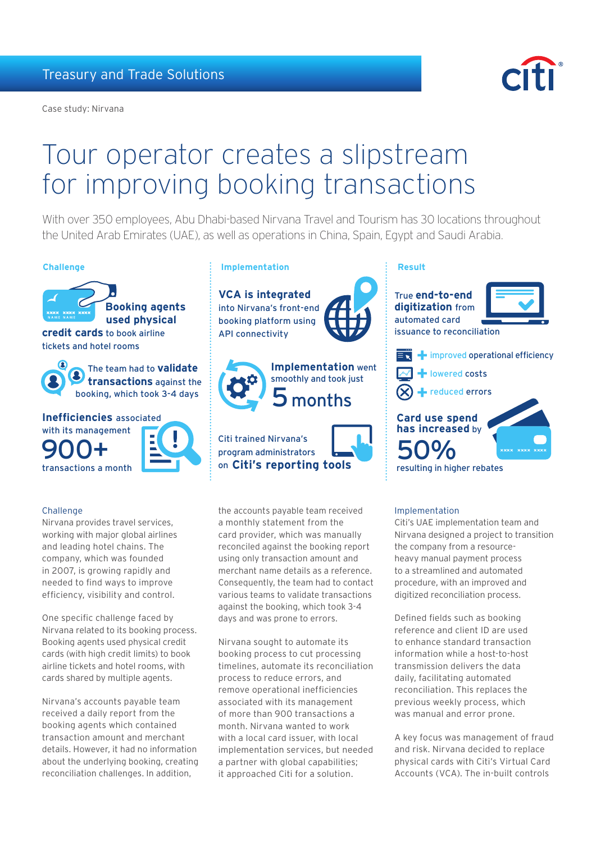Case study: Nirvana



# Tour operator creates a slipstream for improving booking transactions

With over 350 employees, Abu Dhabi-based Nirvana Travel and Tourism has 30 locations throughout the United Arab Emirates (UAE), as well as operations in China, Spain, Egypt and Saudi Arabia.



 **transactions** against the booking, which took 3-4 days

**Inefficiencies** associated with its management transactions a month 900+

## **Challenge**

Nirvana provides travel services, working with major global airlines and leading hotel chains. The company, which was founded in 2007, is growing rapidly and needed to find ways to improve efficiency, visibility and control.

One specific challenge faced by Nirvana related to its booking process. Booking agents used physical credit cards (with high credit limits) to book airline tickets and hotel rooms, with cards shared by multiple agents.

Nirvana's accounts payable team received a daily report from the booking agents which contained transaction amount and merchant details. However, it had no information about the underlying booking, creating reconciliation challenges. In addition,

# **Challenge Implementation Result**

**VCA is integrated** into Nirvana's front-end booking platform using API connectivity



Citi trained Nirvana's program administrators on **Citi's reporting tools** 

the accounts payable team received a monthly statement from the card provider, which was manually reconciled against the booking report using only transaction amount and merchant name details as a reference. Consequently, the team had to contact various teams to validate transactions against the booking, which took 3-4 days and was prone to errors.

Nirvana sought to automate its booking process to cut processing timelines, automate its reconciliation process to reduce errors, and remove operational inefficiencies associated with its management of more than 900 transactions a month. Nirvana wanted to work with a local card issuer, with local implementation services, but needed a partner with global capabilities; it approached Citi for a solution.

True **end-to-end digitization** from automated card issuance to reconciliation







reduced errors

# **Card use spend has increased** by 50%



resulting in higher rebates

### Implementation

Citi's UAE implementation team and Nirvana designed a project to transition the company from a resourceheavy manual payment process to a streamlined and automated procedure, with an improved and digitized reconciliation process.

Defined fields such as booking reference and client ID are used to enhance standard transaction information while a host-to-host transmission delivers the data daily, facilitating automated reconciliation. This replaces the previous weekly process, which was manual and error prone.

A key focus was management of fraud and risk. Nirvana decided to replace physical cards with Citi's Virtual Card Accounts (VCA). The in-built controls